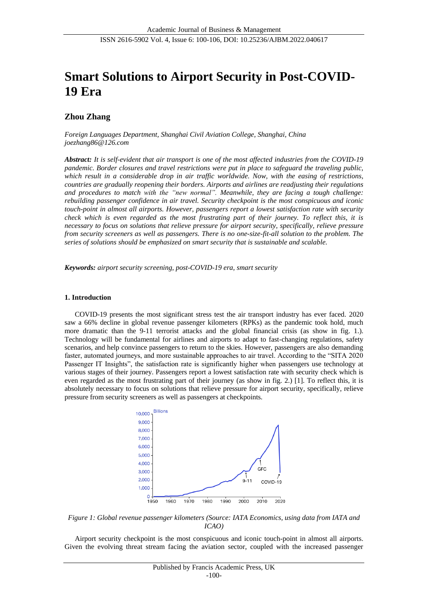# **Smart Solutions to Airport Security in Post-COVID-19 Era**

# **Zhou Zhang**

*Foreign Languages Department, Shanghai Civil Aviation College, Shanghai, China joezhang86@126.com*

*Abstract: It is self-evident that air transport is one of the most affected industries from the COVID-19 pandemic. Border closures and travel restrictions were put in place to safeguard the traveling public, which result in a considerable drop in air traffic worldwide. Now, with the easing of restrictions, countries are gradually reopening their borders. Airports and airlines are readjusting their regulations and procedures to match with the "new normal". Meanwhile, they are facing a tough challenge: rebuilding passenger confidence in air travel. Security checkpoint is the most conspicuous and iconic touch-point in almost all airports. However, passengers report a lowest satisfaction rate with security check which is even regarded as the most frustrating part of their journey. To reflect this, it is necessary to focus on solutions that relieve pressure for airport security, specifically, relieve pressure from security screeners as well as passengers. There is no one-size-fit-all solution to the problem. The series of solutions should be emphasized on smart security that is sustainable and scalable.*

*Keywords: airport security screening, post-COVID-19 era, smart security*

# **1. Introduction**

COVID-19 presents the most significant stress test the air transport industry has ever faced. 2020 saw a 66% decline in global revenue passenger kilometers (RPKs) as the pandemic took hold, much more dramatic than the 9-11 terrorist attacks and the global financial crisis (as show in fig. 1.). Technology will be fundamental for airlines and airports to adapt to fast-changing regulations, safety scenarios, and help convince passengers to return to the skies. However, passengers are also demanding faster, automated journeys, and more sustainable approaches to air travel. According to the "SITA 2020 Passenger IT Insights", the satisfaction rate is significantly higher when passengers use technology at various stages of their journey. Passengers report a lowest satisfaction rate with security check which is even regarded as the most frustrating part of their journey (as show in fig. 2.) [1]. To reflect this, it is absolutely necessary to focus on solutions that relieve pressure for airport security, specifically, relieve pressure from security screeners as well as passengers at checkpoints.



*Figure 1: Global revenue passenger kilometers (Source: IATA Economics, using data from IATA and ICAO)*

Airport security checkpoint is the most conspicuous and iconic touch-point in almost all airports. Given the evolving threat stream facing the aviation sector, coupled with the increased passenger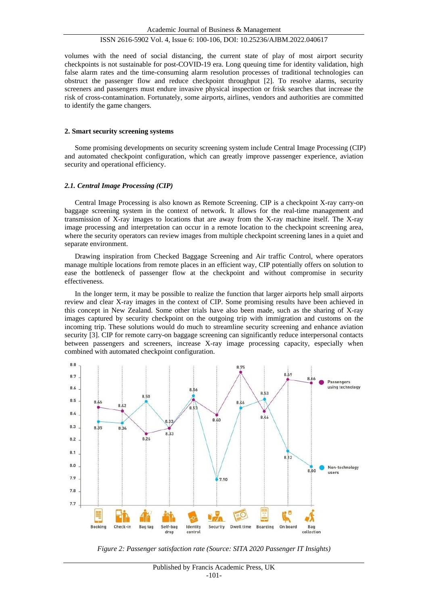volumes with the need of social distancing, the current state of play of most airport security checkpoints is not sustainable for post-COVID-19 era. Long queuing time for identity validation, high false alarm rates and the time-consuming alarm resolution processes of traditional technologies can obstruct the passenger flow and reduce checkpoint throughput [2]. To resolve alarms, security screeners and passengers must endure invasive physical inspection or frisk searches that increase the risk of cross-contamination. Fortunately, some airports, airlines, vendors and authorities are committed to identify the game changers.

#### **2. Smart security screening systems**

Some promising developments on security screening system include Central Image Processing (CIP) and automated checkpoint configuration, which can greatly improve passenger experience, aviation security and operational efficiency.

## *2.1. Central Image Processing (CIP)*

Central Image Processing is also known as Remote Screening. CIP is a checkpoint X-ray carry-on baggage screening system in the context of network. It allows for the real-time management and transmission of X-ray images to locations that are away from the X-ray machine itself. The X-ray image processing and interpretation can occur in a remote location to the checkpoint screening area, where the security operators can review images from multiple checkpoint screening lanes in a quiet and separate environment.

Drawing inspiration from Checked Baggage Screening and Air traffic Control, where operators manage multiple locations from remote places in an efficient way, CIP potentially offers on solution to ease the bottleneck of passenger flow at the checkpoint and without compromise in security effectiveness.

In the longer term, it may be possible to realize the function that larger airports help small airports review and clear X-ray images in the context of CIP. Some promising results have been achieved in this concept in New Zealand. Some other trials have also been made, such as the sharing of X-ray images captured by security checkpoint on the outgoing trip with immigration and customs on the incoming trip. These solutions would do much to streamline security screening and enhance aviation security [3]. CIP for remote carry-on baggage screening can significantly reduce interpersonal contacts between passengers and screeners, increase X-ray image processing capacity, especially when combined with automated checkpoint configuration.



*Figure 2: Passenger satisfaction rate (Source: SITA 2020 Passenger IT Insights)*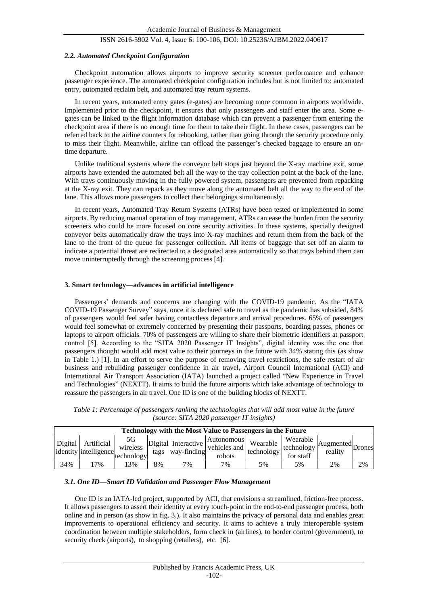#### *2.2. Automated Checkpoint Configuration*

Checkpoint automation allows airports to improve security screener performance and enhance passenger experience. The automated checkpoint configuration includes but is not limited to: automated entry, automated reclaim belt, and automated tray return systems.

In recent years, automated entry gates (e-gates) are becoming more common in airports worldwide. Implemented prior to the checkpoint, it ensures that only passengers and staff enter the area. Some egates can be linked to the flight information database which can prevent a passenger from entering the checkpoint area if there is no enough time for them to take their flight. In these cases, passengers can be referred back to the airline counters for rebooking, rather than going through the security procedure only to miss their flight. Meanwhile, airline can offload the passenger's checked baggage to ensure an ontime departure.

Unlike traditional systems where the conveyor belt stops just beyond the X-ray machine exit, some airports have extended the automated belt all the way to the tray collection point at the back of the lane. With trays continuously moving in the fully powered system, passengers are prevented from repacking at the X-ray exit. They can repack as they move along the automated belt all the way to the end of the lane. This allows more passengers to collect their belongings simultaneously.

In recent years, Automated Tray Return Systems (ATRs) have been tested or implemented in some airports. By reducing manual operation of tray management, ATRs can ease the burden from the security screeners who could be more focused on core security activities. In these systems, specially designed conveyor belts automatically draw the trays into X-ray machines and return them from the back of the lane to the front of the queue for passenger collection. All items of baggage that set off an alarm to indicate a potential threat are redirected to a designated area automatically so that trays behind them can move uninterruptedly through the screening process [4].

#### **3. Smart technology—advances in artificial intelligence**

Passengers' demands and concerns are changing with the COVID-19 pandemic. As the "IATA COVID-19 Passenger Survey" says, once it is declared safe to travel as the pandemic has subsided, 84% of passengers would feel safer having contactless departure and arrival procedures. 65% of passengers would feel somewhat or extremely concerned by presenting their passports, boarding passes, phones or laptops to airport officials. 70% of passengers are willing to share their biometric identifiers at passport control [5]. According to the "SITA 2020 Passenger IT Insights", digital identity was the one that passengers thought would add most value to their journeys in the future with 34% stating this (as show in Table 1.) [1]. In an effort to serve the purpose of removing travel restrictions, the safe restart of air business and rebuilding passenger confidence in air travel, Airport Council International (ACI) and International Air Transport Association (IATA) launched a project called "New Experience in Travel and Technologies" (NEXTT). It aims to build the future airports which take advantage of technology to reassure the passengers in air travel. One ID is one of the building blocks of NEXTT.

| <b>Technology with the Most Value to Passengers in the Future</b> |                                                |                              |      |                                    |                                      |                        |                                     |                             |    |  |  |  |
|-------------------------------------------------------------------|------------------------------------------------|------------------------------|------|------------------------------------|--------------------------------------|------------------------|-------------------------------------|-----------------------------|----|--|--|--|
|                                                                   | Digital   Artificial<br>identity intelligence. | 5G<br>wireless<br>technology | tags | Digital Interactive<br>way-finding | Autonomous<br>vehicles and<br>robots | Wearable<br>technology | Wearable<br>technology<br>for staff | Augmented Drones<br>reality |    |  |  |  |
| 34%                                                               | 7%                                             | 3%                           | 8%   | 7%                                 | 7%                                   | 5%                     | 5%                                  | 2%                          | 2% |  |  |  |

*Table 1: Percentage of passengers ranking the technologies that will add most value in the future (source: SITA 2020 passenger IT insights)*

#### *3.1. One ID—Smart ID Validation and Passenger Flow Management*

One ID is an IATA-led project, supported by ACI, that envisions a streamlined, friction-free process. It allows passengers to assert their identity at every touch-point in the end-to-end passenger process, both online and in person (as show in fig. 3.). It also maintains the privacy of personal data and enables great improvements to operational efficiency and security. It aims to achieve a truly interoperable system coordination between multiple stakeholders, form check in (airlines), to border control (government), to security check (airports), to shopping (retailers), etc. [6].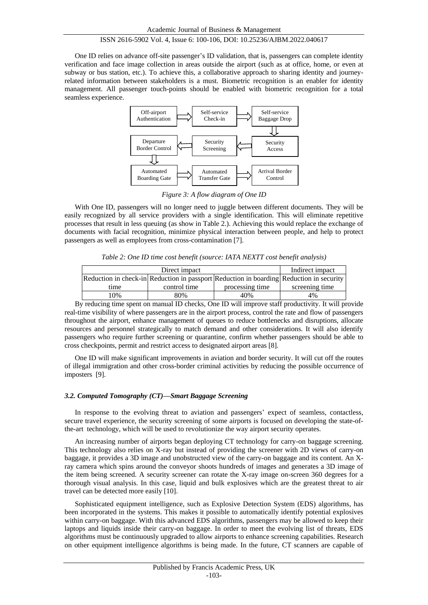One ID relies on advance off-site passenger's ID validation, that is, passengers can complete identity verification and face image collection in areas outside the airport (such as at office, home, or even at subway or bus station, etc.). To achieve this, a collaborative approach to sharing identity and journeyrelated information between stakeholders is a must. Biometric recognition is an enabler for identity management. All passenger touch-points should be enabled with biometric recognition for a total seamless experience.



*Figure 3: A flow diagram of One ID*

With One ID, passengers will no longer need to juggle between different documents. They will be easily recognized by all service providers with a single identification. This will eliminate repetitive processes that result in less queuing (as show in Table 2.). Achieving this would replace the exchange of documents with facial recognition, minimize physical interaction between people, and help to protect passengers as well as employees from cross-contamination [7].

*Table 2: One ID time cost benefit (source: IATA NEXTT cost benefit analysis)* 

|                                                                                         | Indirect impact |                 |                |
|-----------------------------------------------------------------------------------------|-----------------|-----------------|----------------|
| Reduction in check-in Reduction in passport Reduction in boarding Reduction in security |                 |                 |                |
| time                                                                                    | control time    | processing time | screening time |
| 10%                                                                                     | 80%             | 40%             | 4%             |

By reducing time spent on manual ID checks, One ID will improve staff productivity. It will provide real-time visibility of where passengers are in the airport process, control the rate and flow of passengers throughout the airport, enhance management of queues to reduce bottlenecks and disruptions, allocate resources and personnel strategically to match demand and other considerations. It will also identify passengers who require further screening or quarantine, confirm whether passengers should be able to cross checkpoints, permit and restrict access to designated airport areas [8].

One ID will make significant improvements in aviation and border security. It will cut off the routes of illegal immigration and other cross-border criminal activities by reducing the possible occurrence of imposters [9].

#### *3.2. Computed Tomography (CT)—Smart Baggage Screening*

In response to the evolving threat to aviation and passengers' expect of seamless, contactless, secure travel experience, the security screening of some airports is focused on developing the state-ofthe-art technology, which will be used to revolutionize the way airport security operates.

An increasing number of airports began deploying CT technology for carry-on baggage screening. This technology also relies on X-ray but instead of providing the screener with 2D views of carry-on baggage, it provides a 3D image and unobstructed view of the carry-on baggage and its content. An Xray camera which spins around the conveyor shoots hundreds of images and generates a 3D image of the item being screened. A security screener can rotate the X-ray image on-screen 360 degrees for a thorough visual analysis. In this case, liquid and bulk explosives which are the greatest threat to air travel can be detected more easily [10].

Sophisticated equipment intelligence, such as Explosive Detection System (EDS) algorithms, has been incorporated in the systems. This makes it possible to automatically identify potential explosives within carry-on baggage. With this advanced EDS algorithms, passengers may be allowed to keep their laptops and liquids inside their carry-on baggage. In order to meet the evolving list of threats, EDS algorithms must be continuously upgraded to allow airports to enhance screening capabilities. Research on other equipment intelligence algorithms is being made. In the future, CT scanners are capable of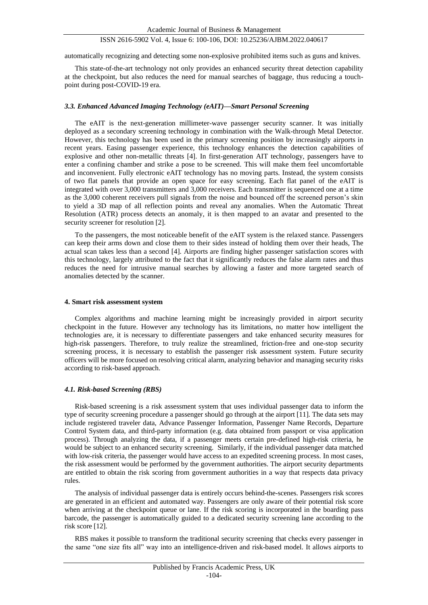automatically recognizing and detecting some non-explosive prohibited items such as guns and knives.

This state-of-the-art technology not only provides an enhanced security threat detection capability at the checkpoint, but also reduces the need for manual searches of baggage, thus reducing a touchpoint during post-COVID-19 era.

#### *3.3. Enhanced Advanced Imaging Technology (eAIT)—Smart Personal Screening*

The eAIT is the next-generation millimeter-wave passenger security scanner. It was initially deployed as a secondary screening technology in combination with the Walk-through Metal Detector. However, this technology has been used in the primary screening position by increasingly airports in recent years. Easing passenger experience, this technology enhances the detection capabilities of explosive and other non-metallic threats [4]. In first-generation AIT technology, passengers have to enter a confining chamber and strike a pose to be screened. This will make them feel uncomfortable and inconvenient. Fully electronic eAIT technology has no moving parts. Instead, the system consists of two flat panels that provide an open space for easy screening. Each flat panel of the eAIT is integrated with over 3,000 transmitters and 3,000 receivers. Each transmitter is sequenced one at a time as the 3,000 coherent receivers pull signals from the noise and bounced off the screened person's skin to yield a 3D map of all reflection points and reveal any anomalies. When the Automatic Threat Resolution (ATR) process detects an anomaly, it is then mapped to an avatar and presented to the security screener for resolution [2].

To the passengers, the most noticeable benefit of the eAIT system is the relaxed stance. Passengers can keep their arms down and close them to their sides instead of holding them over their heads, The actual scan takes less than a second [4]. Airports are finding higher passenger satisfaction scores with this technology, largely attributed to the fact that it significantly reduces the false alarm rates and thus reduces the need for intrusive manual searches by allowing a faster and more targeted search of anomalies detected by the scanner.

## **4. Smart risk assessment system**

Complex algorithms and machine learning might be increasingly provided in airport security checkpoint in the future. However any technology has its limitations, no matter how intelligent the technologies are, it is necessary to differentiate passengers and take enhanced security measures for high-risk passengers. Therefore, to truly realize the streamlined, friction-free and one-stop security screening process, it is necessary to establish the passenger risk assessment system. Future security officers will be more focused on resolving critical alarm, analyzing behavior and managing security risks according to risk-based approach.

#### *4.1. Risk-based Screening (RBS)*

Risk-based screening is a risk assessment system that uses individual passenger data to inform the type of security screening procedure a passenger should go through at the airport [11]. The data sets may include registered traveler data, Advance Passenger Information, Passenger Name Records, Departure Control System data, and third-party information (e.g. data obtained from passport or visa application process). Through analyzing the data, if a passenger meets certain pre-defined high-risk criteria, he would be subject to an enhanced security screening. Similarly, if the individual passenger data matched with low-risk criteria, the passenger would have access to an expedited screening process. In most cases, the risk assessment would be performed by the government authorities. The airport security departments are entitled to obtain the risk scoring from government authorities in a way that respects data privacy rules.

The analysis of individual passenger data is entirely occurs behind-the-scenes. Passengers risk scores are generated in an efficient and automated way. Passengers are only aware of their potential risk score when arriving at the checkpoint queue or lane. If the risk scoring is incorporated in the boarding pass barcode, the passenger is automatically guided to a dedicated security screening lane according to the risk score [12].

RBS makes it possible to transform the traditional security screening that checks every passenger in the same "one size fits all" way into an intelligence-driven and risk-based model. It allows airports to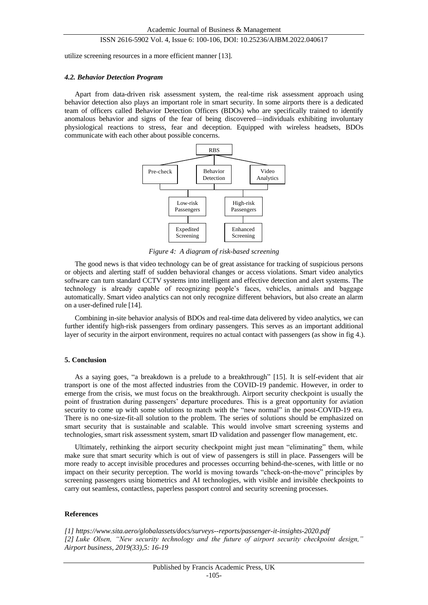utilize screening resources in a more efficient manner [13].

#### *4.2. Behavior Detection Program*

Apart from data-driven risk assessment system, the real-time risk assessment approach using behavior detection also plays an important role in smart security. In some airports there is a dedicated team of officers called Behavior Detection Officers (BDOs) who are specifically trained to identify anomalous behavior and signs of the fear of being discovered—individuals exhibiting involuntary physiological reactions to stress, fear and deception. Equipped with wireless headsets, BDOs communicate with each other about possible concerns.



*Figure 4: A diagram of risk-based screening*

The good news is that video technology can be of great assistance for tracking of suspicious persons or objects and alerting staff of sudden behavioral changes or access violations. Smart video analytics software can turn standard CCTV systems into intelligent and effective detection and alert systems. The technology is already capable of recognizing people's faces, vehicles, animals and baggage automatically. Smart video analytics can not only recognize different behaviors, but also create an alarm on a user-defined rule [14].

Combining in-site behavior analysis of BDOs and real-time data delivered by video analytics, we can further identify high-risk passengers from ordinary passengers. This serves as an important additional layer of security in the airport environment, requires no actual contact with passengers (as show in fig 4.).

## **5. Conclusion**

As a saying goes, "a breakdown is a prelude to a breakthrough" [15]. It is self-evident that air transport is one of the most affected industries from the COVID-19 pandemic. However, in order to emerge from the crisis, we must focus on the breakthrough. Airport security checkpoint is usually the point of frustration during passengers' departure procedures. This is a great opportunity for aviation security to come up with some solutions to match with the "new normal" in the post-COVID-19 era. There is no one-size-fit-all solution to the problem. The series of solutions should be emphasized on smart security that is sustainable and scalable. This would involve smart screening systems and technologies, smart risk assessment system, smart ID validation and passenger flow management, etc.

Ultimately, rethinking the airport security checkpoint might just mean "eliminating" them, while make sure that smart security which is out of view of passengers is still in place. Passengers will be more ready to accept invisible procedures and processes occurring behind-the-scenes, with little or no impact on their security perception. The world is moving towards "check-on-the-move" principles by screening passengers using biometrics and AI technologies, with visible and invisible checkpoints to carry out seamless, contactless, paperless passport control and security screening processes.

#### **References**

*[1] https://www.sita.aero/globalassets/docs/surveys--reports/passenger-it-insights-2020.pdf [2] Luke Olsen, "New security technology and the future of airport security checkpoint design," Airport business, 2019(33),5: 16-19*